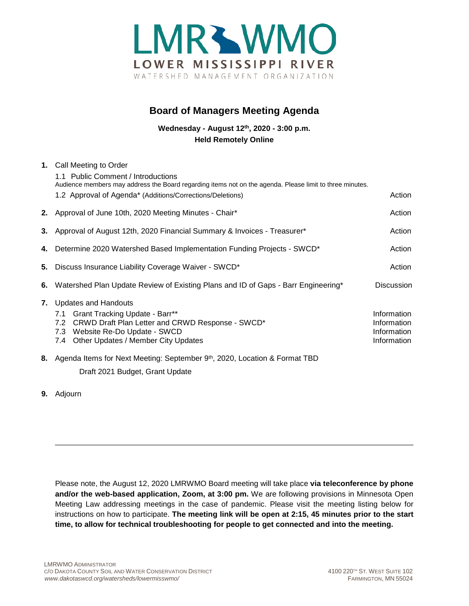

## **Board of Managers Meeting Agenda**

**Wednesday - August 12th, 2020 - 3:00 p.m. Held Remotely Online**

|    | 1. Call Meeting to Order                                                                                 |                   |
|----|----------------------------------------------------------------------------------------------------------|-------------------|
|    | 1.1 Public Comment / Introductions                                                                       |                   |
|    | Audience members may address the Board regarding items not on the agenda. Please limit to three minutes. |                   |
|    | 1.2 Approval of Agenda* (Additions/Corrections/Deletions)                                                | Action            |
|    | 2. Approval of June 10th, 2020 Meeting Minutes - Chair*                                                  | Action            |
|    | 3. Approval of August 12th, 2020 Financial Summary & Invoices - Treasurer*                               | Action            |
|    | 4. Determine 2020 Watershed Based Implementation Funding Projects - SWCD*                                | Action            |
|    | 5. Discuss Insurance Liability Coverage Waiver - SWCD*                                                   | Action            |
| 6. | "Watershed Plan Update Review of Existing Plans and ID of Gaps - Barr Engineering                        | <b>Discussion</b> |
|    | 7. Updates and Handouts                                                                                  |                   |
|    | 7.1 Grant Tracking Update - Barr**                                                                       | Information       |
|    | 7.2 CRWD Draft Plan Letter and CRWD Response - SWCD*                                                     | Information       |
|    | 7.3 Website Re-Do Update - SWCD                                                                          | Information       |
|    | 7.4 Other Updates / Member City Updates                                                                  | Information       |
| 8. | Agenda Items for Next Meeting: September 9th, 2020, Location & Format TBD                                |                   |
|    | Draft 2021 Budget, Grant Update                                                                          |                   |

**9.** Adjourn

Please note, the August 12, 2020 LMRWMO Board meeting will take place **via teleconference by phone and/or the web-based application, Zoom, at 3:00 pm.** We are following provisions in Minnesota Open Meeting Law addressing meetings in the case of pandemic. Please visit the meeting listing below for instructions on how to participate. **The meeting link will be open at 2:15, 45 minutes prior to the start time, to allow for technical troubleshooting for people to get connected and into the meeting.**